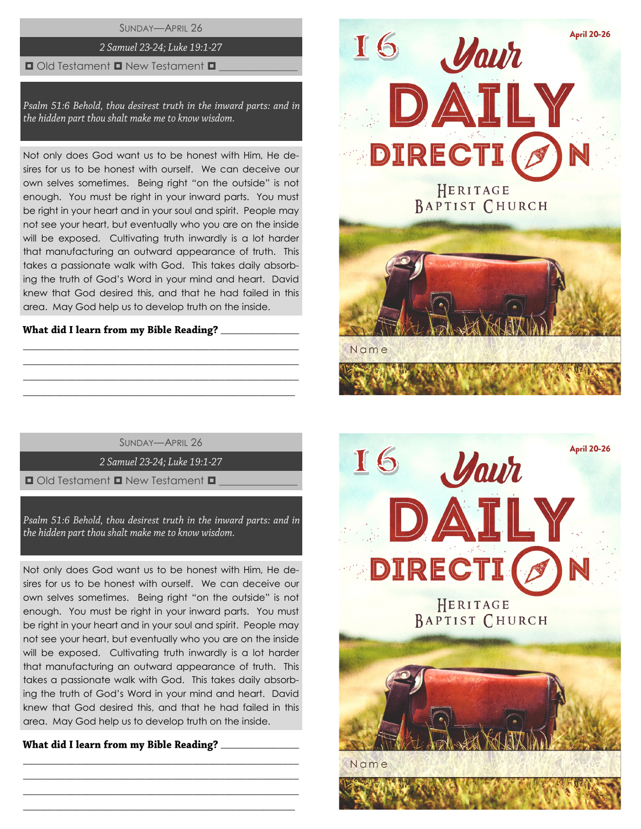SUNDAY—APRIL 26

## 2 Samuel 23-24; Luke 19:1-27

### $\Box$  Old Testament  $\Box$  New Testament  $\Box$

Psalm 51:6 Behold, thou desirest truth in the inward parts: and in the hidden part thou shalt make me to know wisdom.

Not only does God want us to be honest with Him, He desires for us to be honest with ourself. We can deceive our own selves sometimes. Being right "on the outside" is not enough. You must be right in your inward parts. You must be right in your heart and in your soul and spirit. People may not see your heart, but eventually who you are on the inside will be exposed. Cultivating truth inwardly is a lot harder that manufacturing an outward appearance of truth. This takes a passionate walk with God. This takes daily absorbing the truth of God's Word in your mind and heart. David knew that God desired this, and that he had failed in this area. May God help us to develop truth on the inside.

### What did I learn from my Bible Reading?

SUNDAY—APRIL 26

\_\_\_\_\_\_\_\_\_\_\_\_\_\_\_\_\_\_\_\_\_\_\_\_\_\_\_\_\_\_\_\_\_\_\_\_\_\_\_\_\_\_\_\_\_\_\_\_\_\_\_\_ \_\_\_\_\_\_\_\_\_\_\_\_\_\_\_\_\_\_\_\_\_\_\_\_\_\_\_\_\_\_\_\_\_\_\_\_\_\_\_\_\_\_\_\_\_\_\_\_\_\_\_\_ \_\_\_\_\_\_\_\_\_\_\_\_\_\_\_\_\_\_\_\_\_\_\_\_\_\_\_\_\_\_\_\_\_\_\_\_\_\_\_\_\_\_\_\_\_\_\_\_\_\_\_\_  $\_$  , and the set of the set of the set of the set of the set of the set of the set of the set of the set of the set of the set of the set of the set of the set of the set of the set of the set of the set of the set of th

2 Samuel 23-24; Luke 19:1-27

 $\Box$  Old Testament  $\Box$  New Testament  $\Box$ 

Psalm 51:6 Behold, thou desirest truth in the inward parts: and in the hidden part thou shalt make me to know wisdom.

Not only does God want us to be honest with Him, He desires for us to be honest with ourself. We can deceive our own selves sometimes. Being right "on the outside" is not enough. You must be right in your inward parts. You must be right in your heart and in your soul and spirit. People may not see your heart, but eventually who you are on the inside will be exposed. Cultivating truth inwardly is a lot harder that manufacturing an outward appearance of truth. This takes a passionate walk with God. This takes daily absorbing the truth of God's Word in your mind and heart. David knew that God desired this, and that he had failed in this area. May God help us to develop truth on the inside.

\_\_\_\_\_\_\_\_\_\_\_\_\_\_\_\_\_\_\_\_\_\_\_\_\_\_\_\_\_\_\_\_\_\_\_\_\_\_\_\_\_\_\_\_\_\_\_\_\_\_\_\_ \_\_\_\_\_\_\_\_\_\_\_\_\_\_\_\_\_\_\_\_\_\_\_\_\_\_\_\_\_\_\_\_\_\_\_\_\_\_\_\_\_\_\_\_\_\_\_\_\_\_\_\_ \_\_\_\_\_\_\_\_\_\_\_\_\_\_\_\_\_\_\_\_\_\_\_\_\_\_\_\_\_\_\_\_\_\_\_\_\_\_\_\_\_\_\_\_\_\_\_\_\_\_\_\_  $\_$  , and the set of the set of the set of the set of the set of the set of the set of the set of the set of the set of the set of the set of the set of the set of the set of the set of the set of the set of the set of th

 $\overline{\phantom{a}}$  , we can also the contract of  $\overline{\phantom{a}}$ 



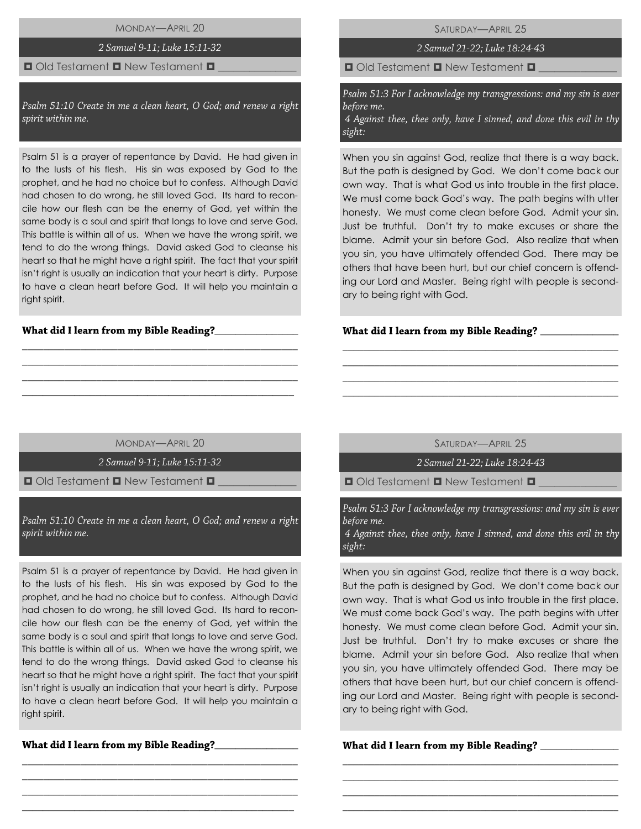MONDAY—APRIL 20

### 2 Samuel 9-11; Luke 15:11-32

### $\Box$  Old Testament  $\Box$  New Testament  $\Box$

Psalm 51:10 Create in me a clean heart, O God; and renew a right spirit within me.

Psalm 51 is a prayer of repentance by David. He had given in to the lusts of his flesh. His sin was exposed by God to the prophet, and he had no choice but to confess. Although David had chosen to do wrong, he still loved God. Its hard to reconcile how our flesh can be the enemy of God, yet within the same body is a soul and spirit that longs to love and serve God. This battle is within all of us. When we have the wrong spirit, we tend to do the wrong things. David asked God to cleanse his heart so that he might have a right spirit. The fact that your spirit isn't right is usually an indication that your heart is dirty. Purpose to have a clean heart before God. It will help you maintain a right spirit.

### What did I learn from my Bible Reading?\_\_

SATURDAY—APRIL 25

2 Samuel 21-22; Luke 18:24-43

 $\Box$  Old Testament  $\Box$  New Testament  $\Box$ 

Psalm 51:3 For I acknowledge my transgressions: and my sin is ever before me.

4 Against thee, thee only, have I sinned, and done this evil in thy sight:

When you sin against God, realize that there is a way back. But the path is designed by God. We don't come back our own way. That is what God us into trouble in the first place. We must come back God's way. The path begins with utter honesty. We must come clean before God. Admit your sin. Just be truthful. Don't try to make excuses or share the blame. Admit your sin before God. Also realize that when you sin, you have ultimately offended God. There may be others that have been hurt, but our chief concern is offending our Lord and Master. Being right with people is secondary to being right with God.

### What did I learn from my Bible Reading?

MONDAY—APRIL 20

\_\_\_\_\_\_\_\_\_\_\_\_\_\_\_\_\_\_\_\_\_\_\_\_\_\_\_\_\_\_\_\_\_\_\_\_\_\_\_\_\_\_\_\_\_\_\_\_\_\_\_\_ \_\_\_\_\_\_\_\_\_\_\_\_\_\_\_\_\_\_\_\_\_\_\_\_\_\_\_\_\_\_\_\_\_\_\_\_\_\_\_\_\_\_\_\_\_\_\_\_\_\_\_\_ \_\_\_\_\_\_\_\_\_\_\_\_\_\_\_\_\_\_\_\_\_\_\_\_\_\_\_\_\_\_\_\_\_\_\_\_\_\_\_\_\_\_\_\_\_\_\_\_\_\_\_\_ \_\_\_\_\_\_\_\_\_\_\_\_\_\_\_\_\_\_\_\_\_\_\_\_\_\_\_\_\_\_\_\_\_\_\_\_\_\_\_\_\_\_\_\_\_\_\_\_\_\_\_\_

2 Samuel 9-11; Luke 15:11-32

 $\Box$  Old Testament  $\Box$  New Testament  $\Box$ 

Psalm 51:10 Create in me a clean heart, O God; and renew a right spirit within me.

Psalm 51 is a prayer of repentance by David. He had given in to the lusts of his flesh. His sin was exposed by God to the prophet, and he had no choice but to confess. Although David had chosen to do wrong, he still loved God. Its hard to reconcile how our flesh can be the enemy of God, yet within the same body is a soul and spirit that longs to love and serve God. This battle is within all of us. When we have the wrong spirit, we tend to do the wrong things. David asked God to cleanse his heart so that he might have a right spirit. The fact that your spirit isn't right is usually an indication that your heart is dirty. Purpose to have a clean heart before God. It will help you maintain a right spirit.

\_\_\_\_\_\_\_\_\_\_\_\_\_\_\_\_\_\_\_\_\_\_\_\_\_\_\_\_\_\_\_\_\_\_\_\_\_\_\_\_\_\_\_\_\_\_\_\_\_\_\_\_ \_\_\_\_\_\_\_\_\_\_\_\_\_\_\_\_\_\_\_\_\_\_\_\_\_\_\_\_\_\_\_\_\_\_\_\_\_\_\_\_\_\_\_\_\_\_\_\_\_\_\_\_ \_\_\_\_\_\_\_\_\_\_\_\_\_\_\_\_\_\_\_\_\_\_\_\_\_\_\_\_\_\_\_\_\_\_\_\_\_\_\_\_\_\_\_\_\_\_\_\_\_\_\_\_ \_\_\_\_\_\_\_\_\_\_\_\_\_\_\_\_\_\_\_\_\_\_\_\_\_\_\_\_\_\_\_\_\_\_\_\_\_\_\_\_\_\_\_\_\_\_\_\_\_\_\_\_

What did I learn from my Bible Reading?\_\_\_\_\_\_\_\_\_\_\_\_

SATURDAY—APRIL 25

\_\_\_\_\_\_\_\_\_\_\_\_\_\_\_\_\_\_\_\_\_\_\_\_\_\_\_\_\_\_\_\_\_\_\_\_\_\_\_\_\_\_\_\_\_\_\_\_\_\_\_\_ \_\_\_\_\_\_\_\_\_\_\_\_\_\_\_\_\_\_\_\_\_\_\_\_\_\_\_\_\_\_\_\_\_\_\_\_\_\_\_\_\_\_\_\_\_\_\_\_\_\_\_\_ \_\_\_\_\_\_\_\_\_\_\_\_\_\_\_\_\_\_\_\_\_\_\_\_\_\_\_\_\_\_\_\_\_\_\_\_\_\_\_\_\_\_\_\_\_\_\_\_\_\_\_\_ \_\_\_\_\_\_\_\_\_\_\_\_\_\_\_\_\_\_\_\_\_\_\_\_\_\_\_\_\_\_\_\_\_\_\_\_\_\_\_\_\_\_\_\_\_\_\_\_\_\_\_\_

2 Samuel 21-22; Luke 18:24-43

 $\Box$  Old Testament  $\Box$  New Testament  $\Box$ 

Psalm 51:3 For I acknowledge my transgressions: and my sin is ever before me.

4 Against thee, thee only, have I sinned, and done this evil in thy sight:

When you sin against God, realize that there is a way back. But the path is designed by God. We don't come back our own way. That is what God us into trouble in the first place. We must come back God's way. The path begins with utter honesty. We must come clean before God. Admit your sin. Just be truthful. Don't try to make excuses or share the blame. Admit your sin before God. Also realize that when you sin, you have ultimately offended God. There may be others that have been hurt, but our chief concern is offending our Lord and Master. Being right with people is secondary to being right with God.

\_\_\_\_\_\_\_\_\_\_\_\_\_\_\_\_\_\_\_\_\_\_\_\_\_\_\_\_\_\_\_\_\_\_\_\_\_\_\_\_\_\_\_\_\_\_\_\_\_\_\_\_ \_\_\_\_\_\_\_\_\_\_\_\_\_\_\_\_\_\_\_\_\_\_\_\_\_\_\_\_\_\_\_\_\_\_\_\_\_\_\_\_\_\_\_\_\_\_\_\_\_\_\_\_ \_\_\_\_\_\_\_\_\_\_\_\_\_\_\_\_\_\_\_\_\_\_\_\_\_\_\_\_\_\_\_\_\_\_\_\_\_\_\_\_\_\_\_\_\_\_\_\_\_\_\_\_ \_\_\_\_\_\_\_\_\_\_\_\_\_\_\_\_\_\_\_\_\_\_\_\_\_\_\_\_\_\_\_\_\_\_\_\_\_\_\_\_\_\_\_\_\_\_\_\_\_\_\_\_

### What did I learn from my Bible Reading? \_\_\_\_\_\_\_\_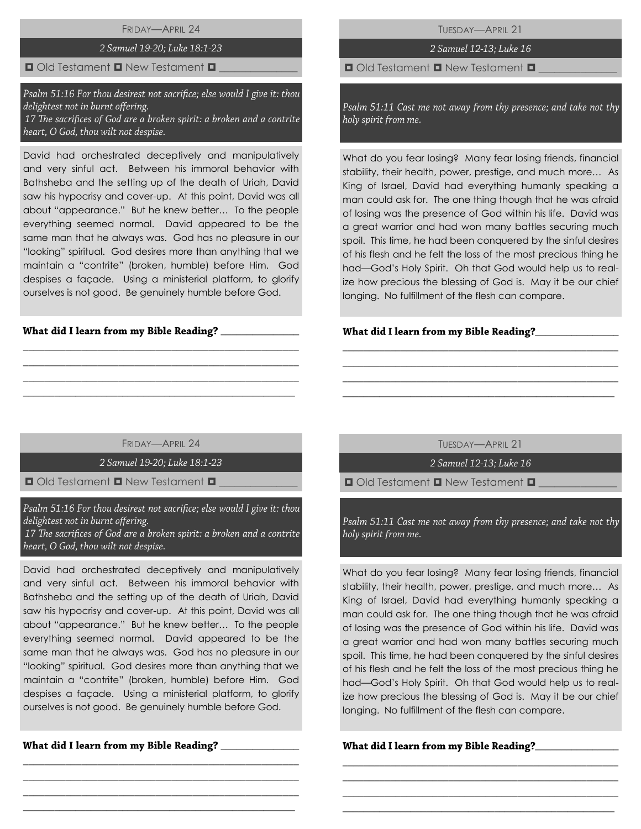# FRIDAY—APRIL 24

### 2 Samuel 19-20; Luke 18:1-23

### $\Box$  Old Testament  $\Box$  New Testament  $\Box$

Psalm 51:16 For thou desirest not sacrifice; else would I give it: thou delightest not in burnt offering. 17 The sacrifices of God are a broken spirit: a broken and a contrite heart, O God, thou wilt not despise.

David had orchestrated deceptively and manipulatively and very sinful act. Between his immoral behavior with Bathsheba and the setting up of the death of Uriah, David saw his hypocrisy and cover-up. At this point, David was all about "appearance." But he knew better… To the people everything seemed normal. David appeared to be the same man that he always was. God has no pleasure in our "looking" spiritual. God desires more than anything that we maintain a "contrite" (broken, humble) before Him. God despises a façade. Using a ministerial platform, to glorify ourselves is not good. Be genuinely humble before God.

# What did I learn from my Bible Reading? \_\_

TUESDAY—APRIL 21

# 2 Samuel 12-13; Luke 16

 $\Box$  Old Testament  $\Box$  New Testament  $\Box$ 

Psalm 51:11 Cast me not away from thy presence; and take not thy holy spirit from me.

What do you fear losing? Many fear losing friends, financial stability, their health, power, prestige, and much more… As King of Israel, David had everything humanly speaking a man could ask for. The one thing though that he was afraid of losing was the presence of God within his life. David was a great warrior and had won many battles securing much spoil. This time, he had been conquered by the sinful desires of his flesh and he felt the loss of the most precious thing he had—God's Holy Spirit. Oh that God would help us to realize how precious the blessing of God is. May it be our chief longing. No fulfillment of the flesh can compare.

#### What did I learn from my Bible Reading?\_\_\_\_

FRIDAY—APRIL 24

\_\_\_\_\_\_\_\_\_\_\_\_\_\_\_\_\_\_\_\_\_\_\_\_\_\_\_\_\_\_\_\_\_\_\_\_\_\_\_\_\_\_\_\_\_\_\_\_\_\_\_\_ \_\_\_\_\_\_\_\_\_\_\_\_\_\_\_\_\_\_\_\_\_\_\_\_\_\_\_\_\_\_\_\_\_\_\_\_\_\_\_\_\_\_\_\_\_\_\_\_\_\_\_\_ \_\_\_\_\_\_\_\_\_\_\_\_\_\_\_\_\_\_\_\_\_\_\_\_\_\_\_\_\_\_\_\_\_\_\_\_\_\_\_\_\_\_\_\_\_\_\_\_\_\_\_\_  $\_$  , and the set of the set of the set of the set of the set of the set of the set of the set of the set of the set of the set of the set of the set of the set of the set of the set of the set of the set of the set of th

2 Samuel 19-20; Luke 18:1-23

 $\Box$  Old Testament  $\Box$  New Testament  $\Box$ 

Psalm 51:16 For thou desirest not sacrifice; else would I give it: thou delightest not in burnt offering.

17 The sacrifices of God are a broken spirit: a broken and a contrite heart, O God, thou wilt not despise.

David had orchestrated deceptively and manipulatively and very sinful act. Between his immoral behavior with Bathsheba and the setting up of the death of Uriah, David saw his hypocrisy and cover-up. At this point, David was all about "appearance." But he knew better… To the people everything seemed normal. David appeared to be the same man that he always was. God has no pleasure in our "looking" spiritual. God desires more than anything that we maintain a "contrite" (broken, humble) before Him. God despises a façade. Using a ministerial platform, to glorify ourselves is not good. Be genuinely humble before God.

\_\_\_\_\_\_\_\_\_\_\_\_\_\_\_\_\_\_\_\_\_\_\_\_\_\_\_\_\_\_\_\_\_\_\_\_\_\_\_\_\_\_\_\_\_\_\_\_\_\_\_\_ \_\_\_\_\_\_\_\_\_\_\_\_\_\_\_\_\_\_\_\_\_\_\_\_\_\_\_\_\_\_\_\_\_\_\_\_\_\_\_\_\_\_\_\_\_\_\_\_\_\_\_\_ \_\_\_\_\_\_\_\_\_\_\_\_\_\_\_\_\_\_\_\_\_\_\_\_\_\_\_\_\_\_\_\_\_\_\_\_\_\_\_\_\_\_\_\_\_\_\_\_\_\_\_\_  $\_$  , and the set of the set of the set of the set of the set of the set of the set of the set of the set of the set of the set of the set of the set of the set of the set of the set of the set of the set of the set of th

What did I learn from my Bible Reading?

TUESDAY—APRIL 21

\_\_\_\_\_\_\_\_\_\_\_\_\_\_\_\_\_\_\_\_\_\_\_\_\_\_\_\_\_\_\_\_\_\_\_\_\_\_\_\_\_\_\_\_\_\_\_\_\_\_\_\_ \_\_\_\_\_\_\_\_\_\_\_\_\_\_\_\_\_\_\_\_\_\_\_\_\_\_\_\_\_\_\_\_\_\_\_\_\_\_\_\_\_\_\_\_\_\_\_\_\_\_\_\_ \_\_\_\_\_\_\_\_\_\_\_\_\_\_\_\_\_\_\_\_\_\_\_\_\_\_\_\_\_\_\_\_\_\_\_\_\_\_\_\_\_\_\_\_\_\_\_\_\_\_\_\_ \_\_\_\_\_\_\_\_\_\_\_\_\_\_\_\_\_\_\_\_\_\_\_\_\_\_\_\_\_\_\_\_\_\_\_\_\_\_\_\_\_\_\_\_\_\_\_\_\_\_\_\_

2 Samuel 12-13; Luke 16

 $\Box$  Old Testament  $\Box$  New Testament  $\Box$ 

Psalm 51:11 Cast me not away from thy presence; and take not thy holy spirit from me.

What do you fear losing? Many fear losing friends, financial stability, their health, power, prestige, and much more… As King of Israel, David had everything humanly speaking a man could ask for. The one thing though that he was afraid of losing was the presence of God within his life. David was a great warrior and had won many battles securing much spoil. This time, he had been conquered by the sinful desires of his flesh and he felt the loss of the most precious thing he had—God's Holy Spirit. Oh that God would help us to realize how precious the blessing of God is. May it be our chief longing. No fulfillment of the flesh can compare.

\_\_\_\_\_\_\_\_\_\_\_\_\_\_\_\_\_\_\_\_\_\_\_\_\_\_\_\_\_\_\_\_\_\_\_\_\_\_\_\_\_\_\_\_\_\_\_\_\_\_\_\_ \_\_\_\_\_\_\_\_\_\_\_\_\_\_\_\_\_\_\_\_\_\_\_\_\_\_\_\_\_\_\_\_\_\_\_\_\_\_\_\_\_\_\_\_\_\_\_\_\_\_\_\_ \_\_\_\_\_\_\_\_\_\_\_\_\_\_\_\_\_\_\_\_\_\_\_\_\_\_\_\_\_\_\_\_\_\_\_\_\_\_\_\_\_\_\_\_\_\_\_\_\_\_\_\_ \_\_\_\_\_\_\_\_\_\_\_\_\_\_\_\_\_\_\_\_\_\_\_\_\_\_\_\_\_\_\_\_\_\_\_\_\_\_\_\_\_\_\_\_\_\_\_\_\_\_\_\_

## What did I learn from my Bible Reading?\_\_\_\_\_\_\_\_\_